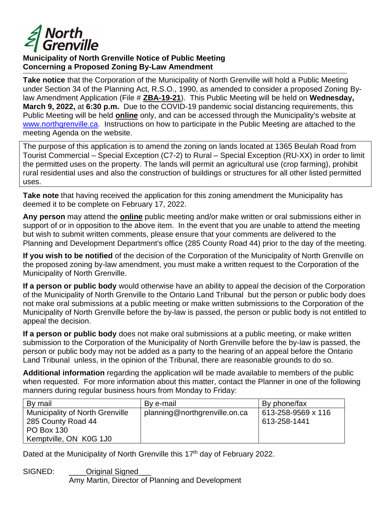

## **Municipality of North Grenville Notice of Public Meeting Concerning a Proposed Zoning By-Law Amendment**

**Take notice** that the Corporation of the Municipality of North Grenville will hold a Public Meeting under Section 34 of the Planning Act, R.S.O., 1990, as amended to consider a proposed Zoning Bylaw Amendment Application (File # **ZBA-19-21**). This Public Meeting will be held on **Wednesday, March 9, 2022,** at **6:30 p.m.** Due to the COVID-19 pandemic social distancing requirements, this Public Meeting will be held **online** only, and can be accessed through the Municipality's website at www.northgrenville.ca. Instructions on how to participate in the Public Meeting are attached to the meeting Agenda on the website.

The purpose of this application is to amend the zoning on lands located at 1365 Beulah Road from Tourist Commercial – Special Exception (C7-2) to Rural – Special Exception (RU-XX) in order to limit the permitted uses on the property. The lands will permit an agricultural use (crop farming), prohibit rural residential uses and also the construction of buildings or structures for all other listed permitted uses.

**Take note** that having received the application for this zoning amendment the Municipality has deemed it to be complete on February 17, 2022.

**Any person** may attend the **online** public meeting and/or make written or oral submissions either in support of or in opposition to the above item. In the event that you are unable to attend the meeting but wish to submit written comments, please ensure that your comments are delivered to the Planning and Development Department's office (285 County Road 44) prior to the day of the meeting.

**If you wish to be notified** of the decision of the Corporation of the Municipality of North Grenville on the proposed zoning by-law amendment, you must make a written request to the Corporation of the Municipality of North Grenville.

**If a person or public body** would otherwise have an ability to appeal the decision of the Corporation of the Municipality of North Grenville to the Ontario Land Tribunal but the person or public body does not make oral submissions at a public meeting or make written submissions to the Corporation of the Municipality of North Grenville before the by-law is passed, the person or public body is not entitled to appeal the decision.

**If a person or public body** does not make oral submissions at a public meeting, or make written submission to the Corporation of the Municipality of North Grenville before the by-law is passed, the person or public body may not be added as a party to the hearing of an appeal before the Ontario Land Tribunal unless, in the opinion of the Tribunal, there are reasonable grounds to do so.

**Additional information** regarding the application will be made available to members of the public when requested. For more information about this matter, contact the Planner in one of the following manners during regular business hours from Monday to Friday:

| By mail                                                                                                     | By e-mail                     | By phone/fax                       |
|-------------------------------------------------------------------------------------------------------------|-------------------------------|------------------------------------|
| <b>Municipality of North Grenville</b><br>285 County Road 44<br><b>PO Box 130</b><br>Kemptville, ON K0G 1J0 | planning@northgrenville.on.ca | 613-258-9569 x 116<br>613-258-1441 |

Dated at the Municipality of North Grenville this 17<sup>th</sup> day of February 2022.

SIGNED: **Original Signed** Amy Martin, Director of Planning and Development